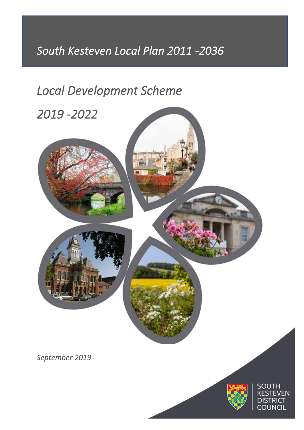# *South Kesteven Local Plan 2011 -2036*

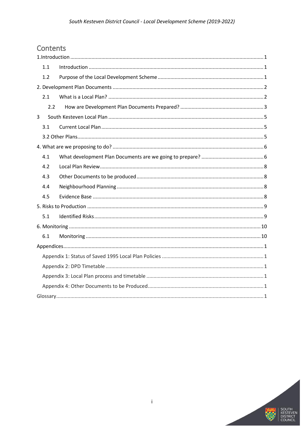# Contents

| 1.1 |  |
|-----|--|
| 1.2 |  |
|     |  |
| 2.1 |  |
| 2.2 |  |
| 3   |  |
| 3.1 |  |
|     |  |
|     |  |
| 4.1 |  |
| 4.2 |  |
| 4.3 |  |
| 4.4 |  |
| 4.5 |  |
|     |  |
| 5.1 |  |
|     |  |
| 6.1 |  |
|     |  |
|     |  |
|     |  |
|     |  |
|     |  |
|     |  |

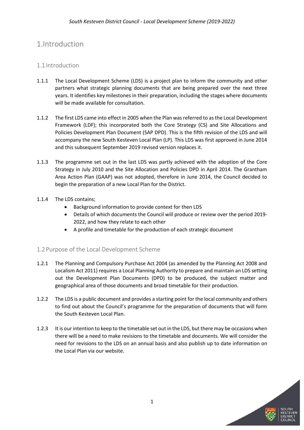# <span id="page-2-0"></span>1.Introduction

# <span id="page-2-1"></span>1.1 Introduction

- 1.1.1 The Local Development Scheme (LDS) is a project plan to inform the community and other partners what strategic planning documents that are being prepared over the next three years. It identifies key milestones in their preparation, including the stages where documents will be made available for consultation.
- 1.1.2 The first LDS came into effect in 2005 when the Plan was referred to as the Local Development Framework (LDF); this incorporated both the Core Strategy (CS) and Site Allocations and Policies Development Plan Document (SAP DPD). This is the fifth revision of the LDS and will accompany the new South Kesteven Local Plan (LP). This LDS was first approved in June 2014 and this subsequent September 2019 revised version replaces it.
- 1.1.3 The programme set out in the last LDS was partly achieved with the adoption of the Core Strategy in July 2010 and the Site Allocation and Policies DPD in April 2014. The Grantham Area Action Plan (GAAP) was not adopted, therefore in June 2014, the Council decided to begin the preparation of a new Local Plan for the District.

### 1.1.4 The LDS contains;

- Background information to provide context for then LDS
- Details of which documents the Council will produce or review over the period 2019- 2022, and how they relate to each other
- A profile and timetable for the production of each strategic document

# <span id="page-2-2"></span>1.2 Purpose of the Local Development Scheme

- 1.2.1 The Planning and Compulsory Purchase Act 2004 (as amended by the Planning Act 2008 and Localism Act 2011) requires a Local Planning Authority to prepare and maintain an LDS setting out the Development Plan Documents (DPD) to be produced, the subject matter and geographical area of those documents and broad timetable for their production.
- 1.2.2 The LDS is a public document and provides a starting point for the local community and others to find out about the Council's programme for the preparation of documents that will form the South Kesteven Local Plan.
- 1.2.3 It is our intention to keep to the timetable set out in the LDS, but there may be occasions when there will be a need to make revisions to the timetable and documents. We will consider the need for revisions to the LDS on an annual basis and also publish up to date information on the Local Plan via our website.

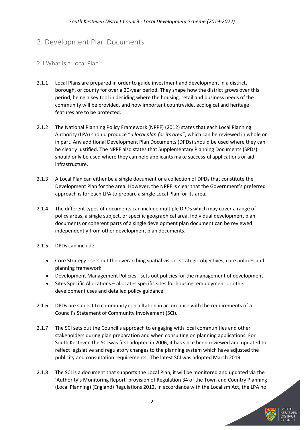# <span id="page-3-0"></span>2. Development Plan Documents

# <span id="page-3-1"></span>2.1What is a Local Plan?

- 2.1.1 Local Plans are prepared in order to guide investment and development in a district, borough, or county for over a 20-year period. They shape how the district grows over this period, being a key tool in deciding where the housing, retail and business needs of the community will be provided, and how important countryside, ecological and heritage features are to be protected.
- 2.1.2 The National Planning Policy Framework (NPPF) (2012) states that each Local Planning Authority (LPA) should produce "*a local plan for its area*", which can be reviewed in whole or in part. Any additional Development Plan Documents (DPDs) should be used where they can be clearly justified. The NPPF also states that Supplementary Planning Documents (SPDs) should only be used where they can help applicants make successful applications or aid infrastructure.
- 2.1.3 A Local Plan can either be a single document or a collection of DPDs that constitute the Development Plan for the area. However, the NPPF is clear that the Government's preferred approach is for each LPA to prepare a single Local Plan for its area.
- 2.1.4 The different types of documents can include multiple DPDs which may cover a range of policy areas, a single subject, or specific geographical area. Individual development plan documents or coherent parts of a single development plan document can be reviewed independently from other development plan documents.
- 2.1.5 DPDs can include:
	- Core Strategy sets out the overarching spatial vision, strategic objectives, core policies and planning framework
	- Development Management Policies sets out policies for the management of development
	- Sites Specific Allocations allocates specific sites for housing, employment or other development uses and detailed policy guidance.
- 2.1.6 DPDs are subject to community consultation in accordance with the requirements of a Council's Statement of Community Involvement (SCI).
- 2.1.7 The SCI sets out the Council's approach to engaging with local communities and other stakeholders during plan preparation and when consulting on planning applications. For South Kesteven the SCI was first adopted in 2006, it has since been reviewed and updated to reflect legislative and regulatory changes to the planning system which have adjusted the publicity and consultation requirements. The latest SCI was adopted March 2019.
- 2.1.8 The SCI is a document that supports the Local Plan, it will be monitored and updated via the 'Authority's Monitoring Report' provision of Regulation 34 of the Town and Country Planning (Local Planning) (England) Regulations 2012. In accordance with the Localism Act, the LPA no

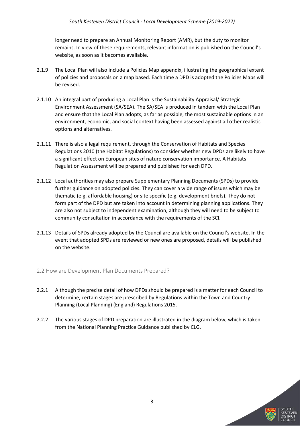longer need to prepare an Annual Monitoring Report (AMR), but the duty to monitor remains. In view of these requirements, relevant information is published on the Council's website, as soon as it becomes available.

- 2.1.9 The Local Plan will also include a Policies Map appendix, illustrating the geographical extent of policies and proposals on a map based. Each time a DPD is adopted the Policies Maps will be revised.
- 2.1.10 An integral part of producing a Local Plan is the Sustainability Appraisal/ Strategic Environment Assessment (SA/SEA). The SA/SEA is produced in tandem with the Local Plan and ensure that the Local Plan adopts, as far as possible, the most sustainable options in an environment, economic, and social context having been assessed against all other realistic options and alternatives.
- 2.1.11 There is also a legal requirement, through the Conservation of Habitats and Species Regulations 2010 (the Habitat Regulations) to consider whether new DPDs are likely to have a significant effect on European sites of nature conservation importance. A Habitats Regulation Assessment will be prepared and published for each DPD.
- 2.1.12 Local authorities may also prepare Supplementary Planning Documents (SPDs) to provide further guidance on adopted policies. They can cover a wide range of issues which may be thematic (e.g. affordable housing) or site specific (e.g. development briefs). They do not form part of the DPD but are taken into account in determining planning applications. They are also not subject to independent examination, although they will need to be subject to community consultation in accordance with the requirements of the SCI.
- 2.1.13 Details of SPDs already adopted by the Council are available on the Council's website. In the event that adopted SPDs are reviewed or new ones are proposed, details will be published on the website.

#### <span id="page-4-0"></span>2.2 How are Development Plan Documents Prepared?

- 2.2.1 Although the precise detail of how DPDs should be prepared is a matter for each Council to determine, certain stages are prescribed by Regulations within the Town and Country Planning (Local Planning) (England) Regulations 2015.
- 2.2.2 The various stages of DPD preparation are illustrated in the diagram below, which is taken from the National Planning Practice Guidance published by CLG.

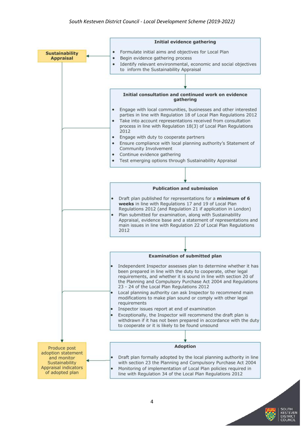

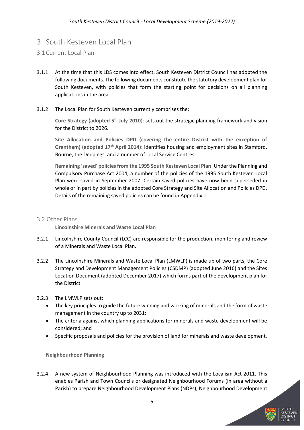# <span id="page-6-0"></span>3 South Kesteven Local Plan

# <span id="page-6-1"></span>3.1Current Local Plan

- 3.1.1 At the time that this LDS comes into effect, South Kesteven District Council has adopted the following documents. The following documents constitute the statutory development plan for South Kesteven, with policies that form the starting point for decisions on all planning applications in the area.
- 3.1.2 The Local Plan for South Kesteven currently comprises the:

**Core Strategy (adopted 5th July 2010**): sets out the strategic planning framework and vision for the District to 2026.

**Site Allocation and Policies DPD (covering the entire District with the exception of Grantham) (adopted 17th April 2014):** identifies housing and employment sites in Stamford, Bourne, the Deepings, and a number of Local Service Centres.

**Remaining 'saved' policies from the 1995 South Kesteven Local Plan**: Under the Planning and Compulsory Purchase Act 2004, a number of the policies of the 1995 South Kesteven Local Plan were saved in September 2007. Certain saved policies have now been superseded in whole or in part by policies in the adopted Core Strategy and Site Allocation and Policies DPD. Details of the remaining saved policies can be found in Appendix 1.

# <span id="page-6-2"></span>3.2 Other Plans

**Lincolnshire Minerals and Waste Local Plan**

- 3.2.1 Lincolnshire County Council (LCC) are responsible for the production, monitoring and review of a Minerals and Waste Local Plan.
- 3.2.2 The Lincolnshire Minerals and Waste Local Plan (LMWLP) is made up of two parts, the Core Strategy and Development Management Policies (CSDMP) (adopted June 2016) and the Sites Location Document (adopted December 2017) which forms part of the development plan for the District.
- 3.2.3 The LMWLP sets out:
	- The key principles to guide the future winning and working of minerals and the form of waste management in the country up to 2031;
	- The criteria against which planning applications for minerals and waste development will be considered; and
	- Specific proposals and policies for the provision of land for minerals and waste development.

**Neighbourhood Planning**

3.2.4 A new system of Neighbourhood Planning was introduced with the Localism Act 2011. This enables Parish and Town Councils or designated Neighbourhood Forums (in area without a Parish) to prepare Neighbourhood Development Plans (NDPs), Neighbourhood Development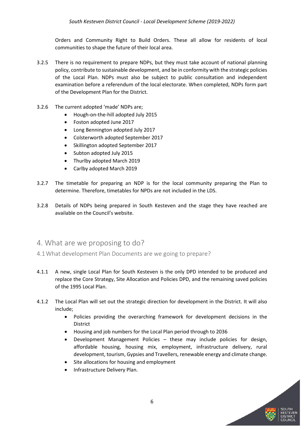Orders and Community Right to Build Orders. These all allow for residents of local communities to shape the future of their local area.

- 3.2.5 There is no requirement to prepare NDPs, but they must take account of national planning policy, contribute to sustainable development, and be in conformity with the strategic policies of the Local Plan. NDPs must also be subject to public consultation and independent examination before a referendum of the local electorate. When completed, NDPs form part of the Development Plan for the District.
- 3.2.6 The current adopted 'made' NDPs are;
	- Hough-on-the-hill adopted July 2015
	- Foston adopted June 2017
	- Long Bennington adopted July 2017
	- Colsterworth adopted September 2017
	- Skillington adopted September 2017
	- Subton adopted July 2015
	- Thurlby adopted March 2019
	- Carlby adopted March 2019
- 3.2.7 The timetable for preparing an NDP is for the local community preparing the Plan to determine. Therefore, timetables for NPDs are not included in the LDS.
- 3.2.8 Details of NDPs being prepared in South Kesteven and the stage they have reached are available on the Council's website.

# <span id="page-7-0"></span>4. What are we proposing to do?

- <span id="page-7-1"></span>4.1What development Plan Documents are we going to prepare?
- 4.1.1 A new, single Local Plan for South Kesteven is the only DPD intended to be produced and replace the Core Strategy, Site Allocation and Policies DPD, and the remaining saved policies of the 1995 Local Plan.
- 4.1.2 The Local Plan will set out the strategic direction for development in the District. It will also include;
	- Policies providing the overarching framework for development decisions in the District
	- Housing and job numbers for the Local Plan period through to 2036
	- Development Management Policies these may include policies for design, affordable housing, housing mix, employment, infrastructure delivery, rural development, tourism, Gypsies and Travellers, renewable energy and climate change.
	- Site allocations for housing and employment
	- Infrastructure Delivery Plan.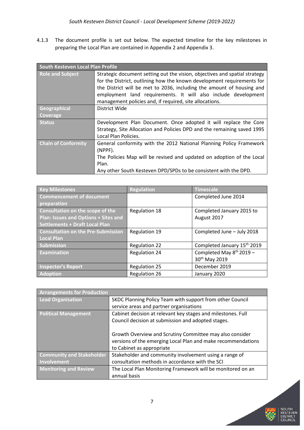4.1.3 The document profile is set out below. The expected timeline for the key milestones in preparing the Local Plan are contained in Appendix 2 and Appendix 3.

| South Kesteven Local Plan Profile |                                                                                                                                                                                                                                                                                                                                                            |
|-----------------------------------|------------------------------------------------------------------------------------------------------------------------------------------------------------------------------------------------------------------------------------------------------------------------------------------------------------------------------------------------------------|
| <b>Role and Subject</b>           | Strategic document setting out the vision, objectives and spatial strategy<br>for the District, outlining how the known development requirements for<br>the District will be met to 2036, including the amount of housing and<br>employment land requirements. It will also include development<br>management policies and, if required, site allocations. |
| Geographical                      | District Wide                                                                                                                                                                                                                                                                                                                                              |
| Coverage                          |                                                                                                                                                                                                                                                                                                                                                            |
| <b>Status</b>                     | Development Plan Document. Once adopted it will replace the Core<br>Strategy, Site Allocation and Policies DPD and the remaining saved 1995<br>Local Plan Policies.                                                                                                                                                                                        |
| <b>Chain of Conformity</b>        | General conformity with the 2012 National Planning Policy Framework<br>(NPPF).<br>The Policies Map will be revised and updated on adoption of the Local<br>Plan.                                                                                                                                                                                           |
|                                   | Any other South Kesteven DPD/SPDs to be consistent with the DPD.                                                                                                                                                                                                                                                                                           |

| <b>Key Milestones</b>                       | <b>Regulation</b>    | <b>Timescale</b>                        |
|---------------------------------------------|----------------------|-----------------------------------------|
| <b>Commencement of document</b>             |                      | Completed June 2014                     |
| preparation                                 |                      |                                         |
| Consultation on the scope of the            | <b>Regulation 18</b> | Completed January 2015 to               |
| <b>Plan: Issues and Options + Sites and</b> |                      | August 2017                             |
| <b>Settlements + Draft Local Plan</b>       |                      |                                         |
| <b>Consultation on the Pre-Submission</b>   | <b>Regulation 19</b> | Completed June - July 2018              |
| Local Plan                                  |                      |                                         |
| <b>Submission</b>                           | <b>Regulation 22</b> | Completed January 15 <sup>th</sup> 2019 |
| <b>Examination</b>                          | <b>Regulation 24</b> | Completed May $8^{th}$ 2019 -           |
|                                             |                      | 30 <sup>th</sup> May 2019               |
| <b>Inspector's Report</b>                   | <b>Regulation 25</b> | December 2019                           |
| <b>Adoption</b>                             | <b>Regulation 26</b> | January 2020                            |

| <b>Arrangements for Production</b> |                                                              |
|------------------------------------|--------------------------------------------------------------|
| Lead Organisation                  | SKDC Planning Policy Team with support from other Council    |
|                                    | service areas and partner organisations                      |
| <b>Political Management</b>        | Cabinet decision at relevant key stages and milestones. Full |
|                                    | Council decision at submission and adopted stages.           |
|                                    |                                                              |
|                                    | Growth Overview and Scrutiny Committee may also consider     |
|                                    | versions of the emerging Local Plan and make recommendations |
|                                    | to Cabinet as appropriate                                    |
| <b>Community and Stakeholder</b>   | Stakeholder and community involvement using a range of       |
| Involvement                        | consultation methods in accordance with the SCI              |
| <b>Monitoring and Review</b>       | The Local Plan Monitoring Framework will be monitored on an  |
|                                    | annual basis                                                 |

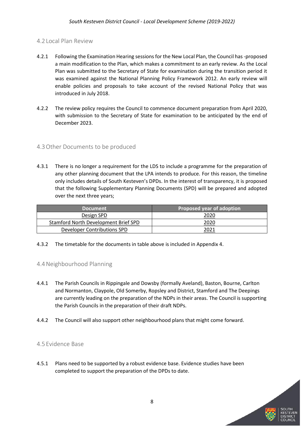### <span id="page-9-0"></span>4.2 Local Plan Review

- 4.2.1 Following the Examination Hearing sessions for the New Local Plan, the Council has -proposed a main modification to the Plan, which makes a commitment to an early review. As the Local Plan was submitted to the Secretary of State for examination during the transition period it was examined against the National Planning Policy Framework 2012. An early review will enable policies and proposals to take account of the revised National Policy that was introduced in July 2018.
- 4.2.2 The review policy requires the Council to commence document preparation from April 2020, with submission to the Secretary of State for examination to be anticipated by the end of December 2023.

### <span id="page-9-1"></span>4.3Other Documents to be produced

4.3.1 There is no longer a requirement for the LDS to include a programme for the preparation of any other planning document that the LPA intends to produce. For this reason, the timeline only includes details of South Kesteven's DPDs. In the interest of transparency, it is proposed that the following Supplementary Planning Documents (SPD) will be prepared and adopted over the next three years;

| <b>Document</b>                      | Proposed year of adoption |
|--------------------------------------|---------------------------|
| Design SPD                           | 2020                      |
| Stamford North Development Brief SPD | 2020                      |
| Developer Contributions SPD          |                           |

4.3.2 The timetable for the documents in table above is included in Appendix 4.

#### <span id="page-9-2"></span>4.4Neighbourhood Planning

- 4.4.1 The Parish Councils in Rippingale and Dowsby (formally Aveland), Baston, Bourne, Carlton and Normanton, Claypole, Old Somerby, Ropsley and District, Stamford and The Deepings are currently leading on the preparation of the NDPs in their areas. The Council is supporting the Parish Councils in the preparation of their draft NDPs.
- 4.4.2 The Council will also support other neighbourhood plans that might come forward.

#### <span id="page-9-3"></span>4.5 Evidence Base

4.5.1 Plans need to be supported by a robust evidence base. Evidence studies have been completed to support the preparation of the DPDs to date.

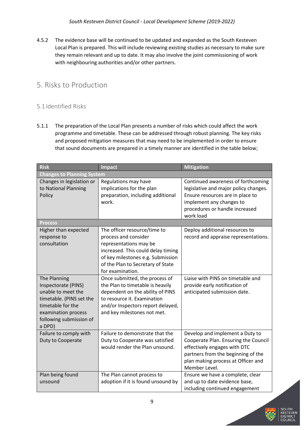4.5.2 The evidence base will be continued to be updated and expanded as the South Kesteven Local Plan is prepared. This will include reviewing existing studies as necessary to make sure they remain relevant and up to date. It may also involve the joint commissioning of work with neighbouring authorities and/or other partners.

# <span id="page-10-0"></span>5. Risks to Production

# <span id="page-10-1"></span>5.1 Identified Risks

5.1.1 The preparation of the Local Plan presents a number of risks which could affect the work programme and timetable. These can be addressed through robust planning. The key risks and proposed mitigation measures that may need to be implemented in order to ensure that sound documents are prepared in a timely manner are identified in the table below;

| <b>Risk</b>                                                                                                                                                            | <b>Impact</b>                                                                                                                                                                                                      | <b>Mitigation</b>                                                                                                                                                                                    |
|------------------------------------------------------------------------------------------------------------------------------------------------------------------------|--------------------------------------------------------------------------------------------------------------------------------------------------------------------------------------------------------------------|------------------------------------------------------------------------------------------------------------------------------------------------------------------------------------------------------|
| <b>Changes to Planning System</b>                                                                                                                                      |                                                                                                                                                                                                                    |                                                                                                                                                                                                      |
| Changes in legislation or<br>to National Planning<br>Policy                                                                                                            | Regulations may have<br>implications for the plan<br>preparation, including additional<br>work.                                                                                                                    | Continued awareness of forthcoming<br>legislative and major policy changes.<br>Ensure resources are in place to<br>implement any changes to<br>procedures or handle increased<br>work load           |
| <b>Process</b>                                                                                                                                                         |                                                                                                                                                                                                                    |                                                                                                                                                                                                      |
| Higher than expected<br>response to<br>consultation                                                                                                                    | The officer resource/time to<br>process and consider<br>representations may be<br>increased. This could delay timing<br>of key milestones e.g. Submission<br>of the Plan to Secretary of State<br>for examination. | Deploy additional resources to<br>record and appraise representations.                                                                                                                               |
| The Planning<br>Inspectorate (PINS)<br>unable to meet the<br>timetable. (PINS set the<br>timetable for the<br>examination process<br>following submission of<br>a DPD) | Once submitted, the process of<br>the Plan to timetable is heavily<br>dependent on the ability of PINS<br>to resource it. Examination<br>and/or Inspectors report delayed,<br>and key milestones not met.          | Liaise with PINS on timetable and<br>provide early notification of<br>anticipated submission date.                                                                                                   |
| Failure to comply with<br>Duty to Cooperate                                                                                                                            | Failure to demonstrate that the<br>Duty to Cooperate was satisfied<br>would render the Plan unsound.                                                                                                               | Develop and implement a Duty to<br>Cooperate Plan. Ensuring the Council<br>effectively engages with DTC<br>partners from the beginning of the<br>plan making process at Officer and<br>Member Level. |
| Plan being found<br>unsound                                                                                                                                            | The Plan cannot process to<br>adoption if it is found unsound by                                                                                                                                                   | Ensure we have a complete, clear<br>and up to date evidence base,<br>including continued engagement                                                                                                  |

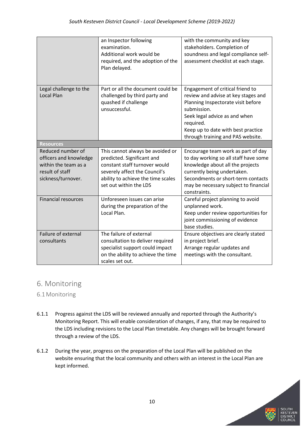|                                                                                                              | an Inspector following<br>examination.<br>Additional work would be<br>required, and the adoption of the<br>Plan delayed.                                               | with the community and key<br>stakeholders. Completion of<br>soundness and legal compliance self-<br>assessment checklist at each stage.                                                                                                              |
|--------------------------------------------------------------------------------------------------------------|------------------------------------------------------------------------------------------------------------------------------------------------------------------------|-------------------------------------------------------------------------------------------------------------------------------------------------------------------------------------------------------------------------------------------------------|
| Legal challenge to the<br><b>Local Plan</b>                                                                  | Part or all the document could be<br>challenged by third party and<br>quashed if challenge<br>unsuccessful.                                                            | Engagement of critical friend to<br>review and advise at key stages and<br>Planning Inspectorate visit before<br>submission.<br>Seek legal advice as and when<br>required.<br>Keep up to date with best practice<br>through training and PAS website. |
| <b>Resources</b>                                                                                             |                                                                                                                                                                        |                                                                                                                                                                                                                                                       |
| Reduced number of<br>officers and knowledge<br>within the team as a<br>result of staff<br>sickness/turnover. | This cannot always be avoided or<br>predicted. Significant and<br>constant staff turnover would<br>severely affect the Council's<br>ability to achieve the time scales | Encourage team work as part of day<br>to day working so all staff have some<br>knowledge about all the projects<br>currently being undertaken.                                                                                                        |
|                                                                                                              | set out within the LDS                                                                                                                                                 | Secondments or short-term contacts<br>may be necessary subject to financial<br>constraints.                                                                                                                                                           |
| <b>Financial resources</b>                                                                                   | Unforeseen issues can arise<br>during the preparation of the<br>Local Plan.                                                                                            | Careful project planning to avoid<br>unplanned work.<br>Keep under review opportunities for<br>joint commissioning of evidence<br>base studies.                                                                                                       |

# <span id="page-11-0"></span>6. Monitoring

# <span id="page-11-1"></span>6.1Monitoring

- 6.1.1 Progress against the LDS will be reviewed annually and reported through the Authority's Monitoring Report. This will enable consideration of changes, if any, that may be required to the LDS including revisions to the Local Plan timetable. Any changes will be brought forward through a review of the LDS.
- 6.1.2 During the year, progress on the preparation of the Local Plan will be published on the website ensuring that the local community and others with an interest in the Local Plan are kept informed.

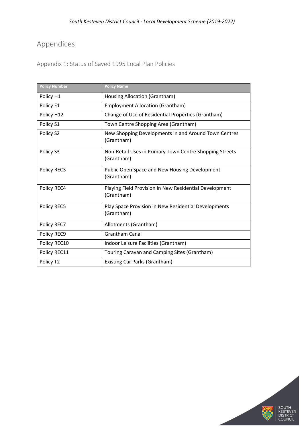# <span id="page-12-0"></span>Appendices

<span id="page-12-1"></span>Appendix 1: Status of Saved 1995 Local Plan Policies

| <b>Policy Number</b> | <b>Policy Name</b>                                                    |
|----------------------|-----------------------------------------------------------------------|
| Policy H1            | Housing Allocation (Grantham)                                         |
| Policy E1            | <b>Employment Allocation (Grantham)</b>                               |
| Policy H12           | Change of Use of Residential Properties (Grantham)                    |
| Policy S1            | Town Centre Shopping Area (Grantham)                                  |
| Policy S2            | New Shopping Developments in and Around Town Centres<br>(Grantham)    |
| Policy S3            | Non-Retail Uses in Primary Town Centre Shopping Streets<br>(Grantham) |
| Policy REC3          | Public Open Space and New Housing Development<br>(Grantham)           |
| Policy REC4          | Playing Field Provision in New Residential Development<br>(Grantham)  |
| Policy REC5          | Play Space Provision in New Residential Developments<br>(Grantham)    |
| Policy REC7          | Allotments (Grantham)                                                 |
| Policy REC9          | <b>Grantham Canal</b>                                                 |
| Policy REC10         | Indoor Leisure Facilities (Grantham)                                  |
| Policy REC11         | Touring Caravan and Camping Sites (Grantham)                          |
| Policy T2            | Existing Car Parks (Grantham)                                         |

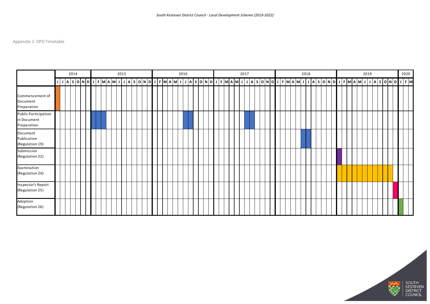# <span id="page-13-0"></span>Appendix 2: DPD Timetable

|                                                           |  | 2014 |  |  |  |  | 2015 |  |  |  |  |  | 2016 |  |  |                                                                                               |  |  | 2017 |  |  |  |  | 2018 |  |  |  |  | 2019 |  |  | 2020                 |  |
|-----------------------------------------------------------|--|------|--|--|--|--|------|--|--|--|--|--|------|--|--|-----------------------------------------------------------------------------------------------|--|--|------|--|--|--|--|------|--|--|--|--|------|--|--|----------------------|--|
|                                                           |  |      |  |  |  |  |      |  |  |  |  |  |      |  |  | │A│S│O│N│D┃J│F│M│A│M│J│J│A│S│O│N│D┃J│F│M│A│M│J│J│A│S│O│N│D┃J│F│M│A│M│J│J│A│S│O│N│D┃J│F│M│A│M│ |  |  |      |  |  |  |  |      |  |  |  |  |      |  |  | $ J A S O N D J F M$ |  |
| Commencement of<br>Document<br>Preparation                |  |      |  |  |  |  |      |  |  |  |  |  |      |  |  |                                                                                               |  |  |      |  |  |  |  |      |  |  |  |  |      |  |  |                      |  |
| <b>Public Participation</b><br>in Document<br>Preparation |  |      |  |  |  |  |      |  |  |  |  |  |      |  |  |                                                                                               |  |  |      |  |  |  |  |      |  |  |  |  |      |  |  |                      |  |
| Document<br>Publication<br>(Regulation 19)                |  |      |  |  |  |  |      |  |  |  |  |  |      |  |  |                                                                                               |  |  |      |  |  |  |  |      |  |  |  |  |      |  |  |                      |  |
| Submission<br>(Regulation 22)                             |  |      |  |  |  |  |      |  |  |  |  |  |      |  |  |                                                                                               |  |  |      |  |  |  |  |      |  |  |  |  |      |  |  |                      |  |
| Examination<br>(Regulation 24)                            |  |      |  |  |  |  |      |  |  |  |  |  |      |  |  |                                                                                               |  |  |      |  |  |  |  |      |  |  |  |  |      |  |  |                      |  |
| Inspector's Report<br>(Regulation 25)                     |  |      |  |  |  |  |      |  |  |  |  |  |      |  |  |                                                                                               |  |  |      |  |  |  |  |      |  |  |  |  |      |  |  |                      |  |
| Adoption<br>(Regulation 26)                               |  |      |  |  |  |  |      |  |  |  |  |  |      |  |  |                                                                                               |  |  |      |  |  |  |  |      |  |  |  |  |      |  |  |                      |  |



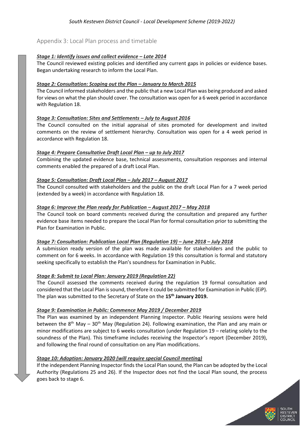# <span id="page-14-0"></span>Appendix 3: Local Plan process and timetable

#### *Stage 1: Identify issues and collect evidence – Late 2014*

The Council reviewed existing policies and identified any current gaps in policies or evidence bases. Began undertaking research to inform the Local Plan.

#### *Stage 2: Consultation: Scoping out the Plan – January to March 2015*

The Council informed stakeholders and the public that a new Local Plan was being produced and asked for views on what the plan should cover. The consultation was open for a 6 week period in accordance with Regulation 18.

#### *Stage 3: Consultation: Sites and Settlements – July to August 2016*

The Council consulted on the initial appraisal of sites promoted for development and invited comments on the review of settlement hierarchy. Consultation was open for a 4 week period in accordance with Regulation 18.

#### *Stage 4: Prepare Consultative Draft Local Plan – up to July 2017*

Combining the updated evidence base, technical assessments, consultation responses and internal comments enabled the prepared of a draft Local Plan.

#### *Stage 5: Consultation: Draft Local Plan – July 2017 – August 2017*

The Council consulted with stakeholders and the public on the draft Local Plan for a 7 week period (extended by a week) in accordance with Regulation 18.

#### *Stage 6: Improve the Plan ready for Publication – August 2017 – May 2018*

The Council took on board comments received during the consultation and prepared any further evidence base items needed to prepare the Local Plan for formal consultation prior to submitting the Plan for Examination in Public.

#### *Stage 7: Consultation: Publication Local Plan (Regulation 19) – June 2018 – July 2018*

A submission ready version of the plan was made available for stakeholders and the public to comment on for 6 weeks. In accordance with Regulation 19 this consultation is formal and statutory seeking specifically to establish the Plan's soundness for Examination in Public.

#### *Stage 8: Submit to Local Plan: January 2019 (Regulation 22)*

The Council assessed the comments received during the regulation 19 formal consultation and considered that the Local Plan is sound, therefore it could be submitted for Examination in Public (EiP). The plan was submitted to the Secretary of State on the **15th January 2019.**

#### *Stage 9: Examination in Public: Commence May 2019 / December 2019*

The Plan was examined by an independent Planning Inspector. Public Hearing sessions were held between the  $8<sup>th</sup>$  May – 30<sup>th</sup> May (Regulation 24). Following examination, the Plan and any main or minor modifications are subject to 6 weeks consultation (under Regulation 19 – relating solely to the soundness of the Plan). This timeframe includes receiving the Inspector's report (December 2019), and following the final round of consultation on any Plan modifications.

#### *Stage 10: Adoption: January 2020 (will require special Council meeting)*

If the independent Planning Inspector finds the Local Plan sound, the Plan can be adopted by the Local Authority (Regulations 25 and 26). If the Inspector does not find the Local Plan sound, the process goes back to stage 6.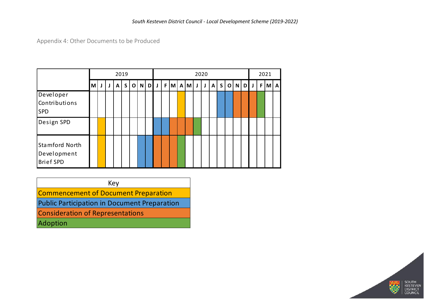Appendix 4: Other Documents to be Produced

|                                                          |   |   |                   | 2019 |                          |  |              |   |  |     |  | 2020  |   | 2021 |              |              |             |   |   |              |    |   |     |
|----------------------------------------------------------|---|---|-------------------|------|--------------------------|--|--------------|---|--|-----|--|-------|---|------|--------------|--------------|-------------|---|---|--------------|----|---|-----|
|                                                          | M | J | $\mathsf{S}$<br>A |      | $\mathsf{N}$<br>$\Omega$ |  | $\mathbf{D}$ | J |  | F M |  | $A$ M | J | J    | $\mathsf{A}$ | $\mathsf{S}$ | $\mathbf o$ | N | D | $\mathsf{J}$ | F. | M | l A |
| Developer<br>Contributions<br><b>SPD</b>                 |   |   |                   |      |                          |  |              |   |  |     |  |       |   |      |              |              |             |   |   |              |    |   |     |
| Design SPD                                               |   |   |                   |      |                          |  |              |   |  |     |  |       |   |      |              |              |             |   |   |              |    |   |     |
| <b>Stamford North</b><br>Development<br><b>Brief SPD</b> |   |   |                   |      |                          |  |              |   |  |     |  |       |   |      |              |              |             |   |   |              |    |   |     |

<span id="page-15-0"></span>Key Commencement of Document Preparation

Public Participation in Document Preparation

Consideration of Representations

Adoption

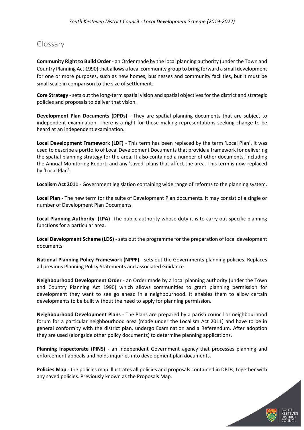# <span id="page-16-0"></span>Glossary

**Community Right to Build Order** - an Order made by the local planning authority (under the Town and Country Planning Act 1990) that allows a local community group to bring forward a small development for one or more purposes, such as new homes, businesses and community facilities, but it must be small scale in comparison to the size of settlement.

**Core Strategy** - sets out the long-term spatial vision and spatial objectives for the district and strategic policies and proposals to deliver that vision.

**Development Plan Documents (DPDs)** - They are spatial planning documents that are subject to independent examination. There is a right for those making representations seeking change to be heard at an independent examination.

**Local Development Framework (LDF)** - This term has been replaced by the term 'Local Plan'. It was used to describe a portfolio of Local Development Documents that provide a framework for delivering the spatial planning strategy for the area. It also contained a number of other documents, including the Annual Monitoring Report, and any 'saved' plans that affect the area. This term is now replaced by 'Local Plan'.

**Localism Act 2011** - Government legislation containing wide range of reforms to the planning system.

**Local Plan** - The new term for the suite of Development Plan documents. It may consist of a single or number of Development Plan Documents.

**Local Planning Authority (LPA)**- The public authority whose duty it is to carry out specific planning functions for a particular area.

**Local Development Scheme (LDS)** - sets out the programme for the preparation of local development documents.

**National Planning Policy Framework (NPPF)** - sets out the Governments planning policies. Replaces all previous Planning Policy Statements and associated Guidance.

**Neighbourhood Development Order** - an Order made by a local planning authority (under the Town and Country Planning Act 1990) which allows communities to grant planning permission for development they want to see go ahead in a neighbourhood. It enables them to allow certain developments to be built without the need to apply for planning permission.

**Neighbourhood Development Plans** - The Plans are prepared by a parish council or neighbourhood forum for a particular neighbourhood area (made under the Localism Act 2011) and have to be in general conformity with the district plan, undergo Examination and a Referendum. After adoption they are used (alongside other policy documents) to determine planning applications.

**Planning Inspectorate (PINS) -** an independent Government agency that processes planning and enforcement appeals and holds inquiries into development plan documents.

**Policies Map** - the policies map illustrates all policies and proposals contained in DPDs, together with any saved policies. Previously known as the Proposals Map.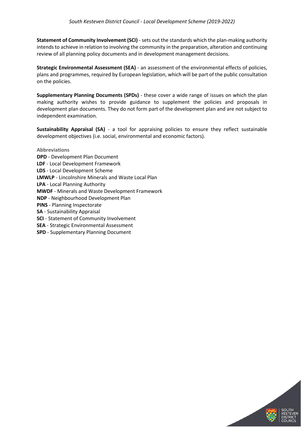**Statement of Community Involvement (SCI)** - sets out the standards which the plan-making authority intends to achieve in relation to involving the community in the preparation, alteration and continuing review of all planning policy documents and in development management decisions.

**Strategic Environmental Assessment (SEA)** - an assessment of the environmental effects of policies, plans and programmes, required by European legislation, which will be part of the public consultation on the policies.

**Supplementary Planning Documents (SPDs)** - these cover a wide range of issues on which the plan making authority wishes to provide guidance to supplement the policies and proposals in development plan documents. They do not form part of the development plan and are not subject to independent examination.

**Sustainability Appraisal (SA)** - a tool for appraising policies to ensure they reflect sustainable development objectives (i.e. social, environmental and economic factors).

**Abbreviations DPD** - Development Plan Document **LDF** - Local Development Framework **LDS** - Local Development Scheme **LMWLP** - Lincolnshire Minerals and Waste Local Plan **LPA** - Local Planning Authority **MWDF** - Minerals and Waste Development Framework **NDP** - Neighbourhood Development Plan **PINS** - Planning Inspectorate **SA** - Sustainability Appraisal **SCI** - Statement of Community Involvement **SEA** - Strategic Environmental Assessment **SPD** - Supplementary Planning Document

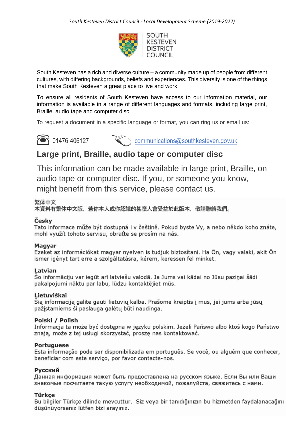

South Kesteven has a rich and diverse culture – a community made up of people from different cultures, with differing backgrounds, beliefs and experiences. This diversity is one of the things that make South Kesteven a great place to live and work.

To ensure all residents of South Kesteven have access to our information material, our information is available in a range of different languages and formats, including large print, Braille, audio tape and computer disc.

To request a document in a specific language or format, you can ring us or email us:



**88 01476 406127** [communications@southkesteven.gov.uk](mailto:communications@southkesteven.gov.uk)

# **Large print, Braille, audio tape or computer disc**

This information can be made available in large print, Braille, on audio tape or computer disc. If you, or someone you know, might benefit from this service, please contact us.

# 繁体中文

本資料有繁体中文版,若你本人或你認識的甚麼人會受益於此版本,敬請聯絡我們。

# Českv

Tato informace může být dostupná i v češtině. Pokud byste Vy, a nebo někdo koho znáte, mohl využít tohoto servisu, obraťte se prosím na nás.

# Magyar

Ezeket az információkat magyar nyelven is tudjuk biztosítani. Ha Ön, vagy valaki, akit Ön ismer igényt tart erre a szolgáltatásra, kérem, keressen fel minket.

# Latvian

Šo informāciju var iegūt arī latviešu valodā. Ja Jums vai kādai no Jūsu paziņai šādi pakalpojumi nāktu par labu, lūdzu kontaktējiet mūs.

# Lietuviškai

Šią informaciją galite gauti lietuvių kalba. Prašome kreiptis į mus, jei jums arba jūsų pažįstamiems ši paslauga galėtų būti naudinga.

# Polski / Polish

Informacja ta może być dostepna w jezyku polskim. Jeżeli Pańswo albo ktoś kogo Państwo znają, może z tej usługi skorzystać, prosze nas kontaktować.

# **Portuguese**

Esta informação pode ser disponibilizada em português. Se você, ou alguém que conhecer, beneficiar com este serviço, por favor contacte-nos.

# Русский

Данная информация может быть предоставлена на русском языке. Если Вы или Ваши знакомые посчитаете такую услугу необходимой, пожалуйста, свяжитесь с нами.

# Türkce

Bu bilgiler Türkçe dilinde mevcuttur. Siz veya bir tanıdığınızın bu hizmetden faydalanacağını düşünüyorsanız lütfen bizi arayınız.